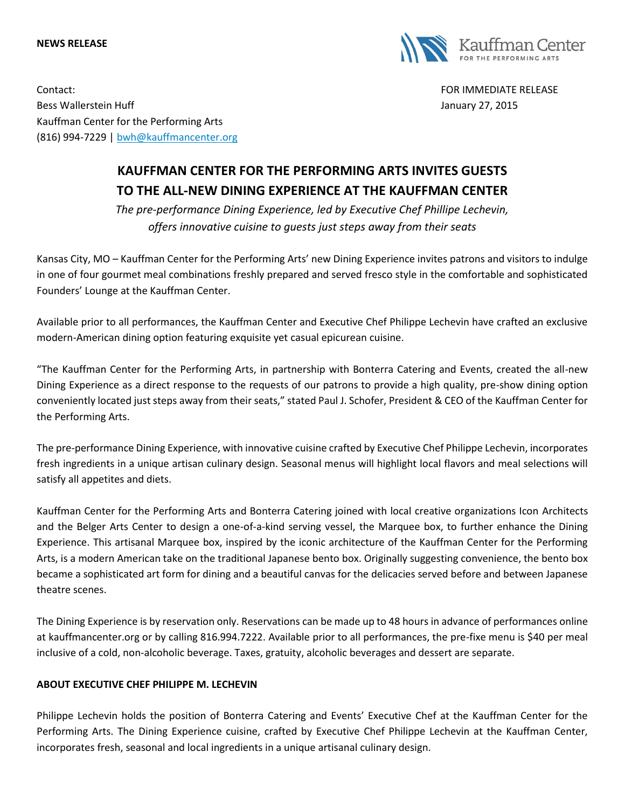## **NEWS RELEASE**



Contact: FOR IMMEDIATE RELEASE Bess Wallerstein Huff **Gallerstein Huff** January 27, 2015 Kauffman Center for the Performing Arts (816) 994-7229 | [bwh@kauffmancenter.org](mailto:bwh@kauffmancenter.org)

## **KAUFFMAN CENTER FOR THE PERFORMING ARTS INVITES GUESTS TO THE ALL-NEW DINING EXPERIENCE AT THE KAUFFMAN CENTER**

*The pre-performance Dining Experience, led by Executive Chef Phillipe Lechevin, offers innovative cuisine to guests just steps away from their seats*

Kansas City, MO – Kauffman Center for the Performing Arts' new Dining Experience invites patrons and visitors to indulge in one of four gourmet meal combinations freshly prepared and served fresco style in the comfortable and sophisticated Founders' Lounge at the Kauffman Center.

Available prior to all performances, the Kauffman Center and Executive Chef Philippe Lechevin have crafted an exclusive modern-American dining option featuring exquisite yet casual epicurean cuisine.

"The Kauffman Center for the Performing Arts, in partnership with Bonterra Catering and Events, created the all-new Dining Experience as a direct response to the requests of our patrons to provide a high quality, pre-show dining option conveniently located just steps away from their seats," stated Paul J. Schofer, President & CEO of the Kauffman Center for the Performing Arts.

The pre-performance Dining Experience, with innovative cuisine crafted by Executive Chef Philippe Lechevin, incorporates fresh ingredients in a unique artisan culinary design. Seasonal menus will highlight local flavors and meal selections will satisfy all appetites and diets.

Kauffman Center for the Performing Arts and Bonterra Catering joined with local creative organizations Icon Architects and the Belger Arts Center to design a one-of-a-kind serving vessel, the Marquee box, to further enhance the Dining Experience. This artisanal Marquee box, inspired by the iconic architecture of the Kauffman Center for the Performing Arts, is a modern American take on the traditional Japanese bento box. Originally suggesting convenience, the bento box became a sophisticated art form for dining and a beautiful canvas for the delicacies served before and between Japanese theatre scenes.

The Dining Experience is by reservation only. Reservations can be made up to 48 hours in advance of performances online at kauffmancenter.org or by calling 816.994.7222. Available prior to all performances, the pre-fixe menu is \$40 per meal inclusive of a cold, non-alcoholic beverage. Taxes, gratuity, alcoholic beverages and dessert are separate.

## **ABOUT EXECUTIVE CHEF PHILIPPE M. LECHEVIN**

Philippe Lechevin holds the position of Bonterra Catering and Events' Executive Chef at the Kauffman Center for the Performing Arts. The Dining Experience cuisine, crafted by Executive Chef Philippe Lechevin at the Kauffman Center, incorporates fresh, seasonal and local ingredients in a unique artisanal culinary design.